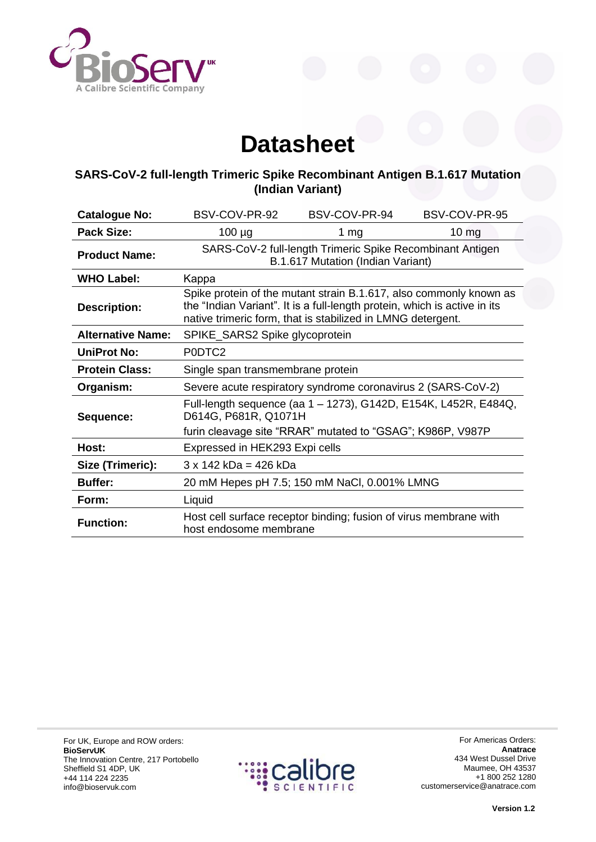

## **Datasheet**

## **SARS-CoV-2 full-length Trimeric Spike Recombinant Antigen B.1.617 Mutation (Indian Variant)**

| <b>Catalogue No:</b>     | BSV-COV-PR-92                                                                                                                                                                                                  | BSV-COV-PR-94                                                     | BSV-COV-PR-95    |
|--------------------------|----------------------------------------------------------------------------------------------------------------------------------------------------------------------------------------------------------------|-------------------------------------------------------------------|------------------|
| Pack Size:               | $100 \mu g$                                                                                                                                                                                                    | 1 $mg$                                                            | 10 <sub>mg</sub> |
| <b>Product Name:</b>     | SARS-CoV-2 full-length Trimeric Spike Recombinant Antigen<br>B.1.617 Mutation (Indian Variant)                                                                                                                 |                                                                   |                  |
| <b>WHO Label:</b>        | Kappa                                                                                                                                                                                                          |                                                                   |                  |
| <b>Description:</b>      | Spike protein of the mutant strain B.1.617, also commonly known as<br>the "Indian Variant". It is a full-length protein, which is active in its<br>native trimeric form, that is stabilized in LMNG detergent. |                                                                   |                  |
| <b>Alternative Name:</b> | SPIKE_SARS2 Spike glycoprotein                                                                                                                                                                                 |                                                                   |                  |
| <b>UniProt No:</b>       | PODTC <sub>2</sub>                                                                                                                                                                                             |                                                                   |                  |
| <b>Protein Class:</b>    | Single span transmembrane protein                                                                                                                                                                              |                                                                   |                  |
| Organism:                | Severe acute respiratory syndrome coronavirus 2 (SARS-CoV-2)                                                                                                                                                   |                                                                   |                  |
| Sequence:                | Full-length sequence (aa 1 - 1273), G142D, E154K, L452R, E484Q,<br>D614G, P681R, Q1071H                                                                                                                        |                                                                   |                  |
|                          | furin cleavage site "RRAR" mutated to "GSAG"; K986P, V987P                                                                                                                                                     |                                                                   |                  |
| Host:                    | Expressed in HEK293 Expi cells                                                                                                                                                                                 |                                                                   |                  |
| Size (Trimeric):         | $3 \times 142$ kDa = 426 kDa                                                                                                                                                                                   |                                                                   |                  |
| <b>Buffer:</b>           |                                                                                                                                                                                                                | 20 mM Hepes pH 7.5; 150 mM NaCl, 0.001% LMNG                      |                  |
| Form:                    | Liquid                                                                                                                                                                                                         |                                                                   |                  |
| <b>Function:</b>         | host endosome membrane                                                                                                                                                                                         | Host cell surface receptor binding; fusion of virus membrane with |                  |